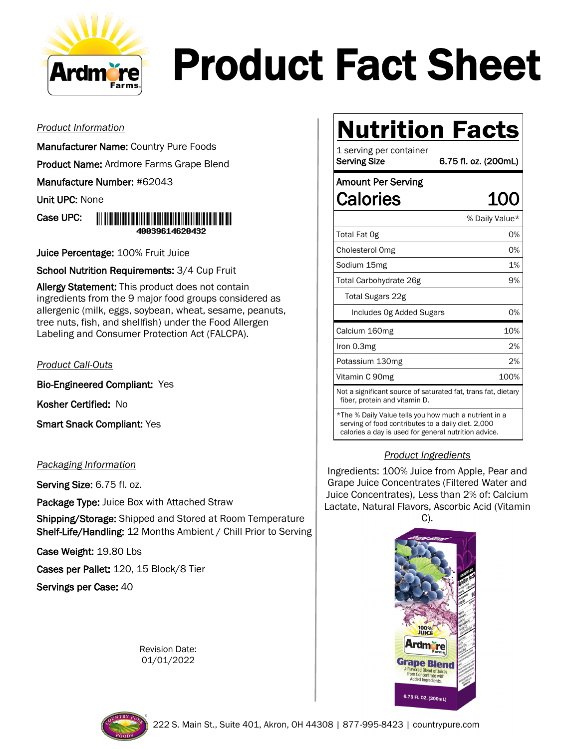

# Product Fact Sheet

#### *Product Information*

- Manufacturer Name: Country Pure Foods
- Product Name: Ardmore Farms Grape Blend

Manufacture Number: #62043

Unit UPC: None

#### Case UPC: <u> 111 | 112 | 113 | 113 | 113 | 113 | 113 | 113 | 113 | 113 | 113 | 114 | 115 | 11</u> 40039614620432

Juice Percentage: 100% Fruit Juice

School Nutrition Requirements: 3/4 Cup Fruit

Allergy Statement: This product does not contain ingredients from the 9 major food groups considered as allergenic (milk, eggs, soybean, wheat, sesame, peanuts, tree nuts, fish, and shellfish) under the Food Allergen Labeling and Consumer Protection Act (FALCPA).

#### *Product Call-Outs*

Bio-Engineered Compliant: Yes

Kosher Certified: No

Smart Snack Compliant: Yes

#### *Packaging Information*

Serving Size: 6.75 fl. oz.

Package Type: Juice Box with Attached Straw

**Shipping/Storage:** Shipped and Stored at Room Temperature Shelf-Life/Handling: 12 Months Ambient / Chill Prior to Serving

Case Weight: 19.80 Lbs

Cases per Pallet: 120, 15 Block/8 Tier

Servings per Case: 40

Revision Date: 01/01/2022

## **Nutrition Facts**

1 serving per container Serving Size 6.75 fl. oz. (200mL) Amount Per Serving Calories 100 % Daily Value\* Total Fat 0g 0% Cholesterol Omg 0% Sodium 15mg 1% Total Carbohydrate 26g and the control of 9% Total Sugars 22g Includes 0g Added Sugars 0% Calcium 160mg 10% Iron 0.3mg 2% Potassium 130mg 2% Vitamin C 90mg 100% Not a significant source of saturated fat, trans fat, dietary fiber, protein and vitamin D. \*The % Daily Value tells you how much a nutrient in a

serving of food contributes to a daily diet. 2,000 calories a day is used for general nutrition advice.

#### *Product Ingredients*

Ingredients: 100% Juice from Apple, Pear and Grape Juice Concentrates (Filtered Water and Juice Concentrates), Less than 2% of: Calcium Lactate, Natural Flavors, Ascorbic Acid (Vitamin